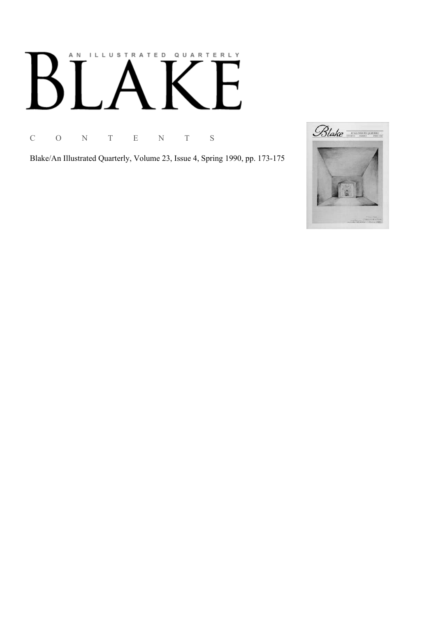# AN ILLUSTRATED QUARTERLY

C O N T E N T S

Blake/An Illustrated Quarterly, Volume 23, Issue 4, Spring 1990, pp. 173-175

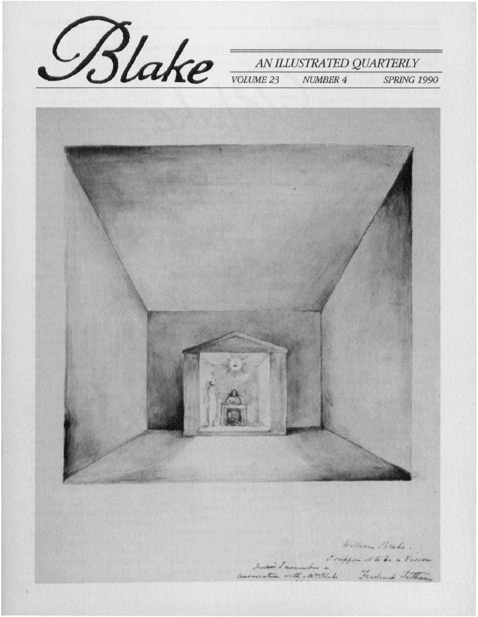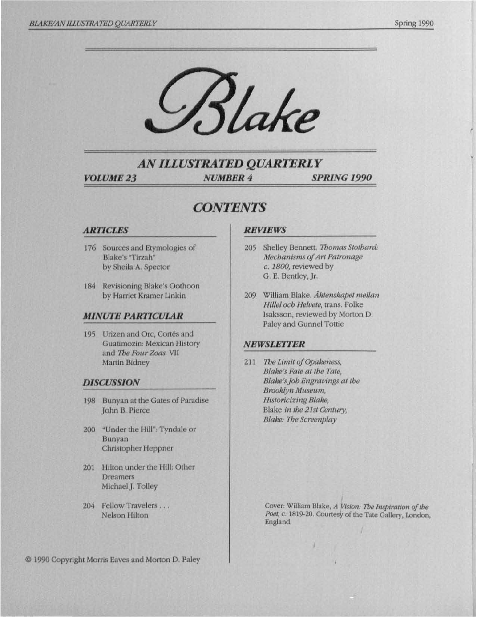

**AN ILLUSTRATED QUARTERLY SPRING 1990 VOLUME 23 NUMBER 4** 

# **CONTENTS**

## **ARTICLES**

- 176 Sources and Etymologies of Blake's "Tirzah" by Sheila A. Spector
- 184 Revisioning Blake's Oothoon by Harriet Kramer Linkin

### **MINUTE PARTICULAR**

195 Urizen and Orc, Cortés and Guatimozin: Mexican History and The Four Zoas VII Martin Bidney

#### **DISCUSSION**

- 198 Bunyan at the Gates of Paradise John B. Pierce
- 200 "Under the Hill": Tyndale or Bunyan Christopher Heppner
- 201 Hilton under the Hill: Other **Dreamers** Michael J. Tolley
- 204 Fellow Travelers ... Nelson Hilton

## **REVIEWS**

- 205 Shelley Bennett. Thomas Stothard: Mechanisms of Art Patronage c. 1800, reviewed by G. E. Bentley, Jr.
- 209 William Blake. Äktenskapet mellan Hillel och Helvete, trans. Folke Isaksson, reviewed by Morton D. Paley and Gunnel Tottie

## **NEWSLETTER**

211 The Limit of Opakeness, Blake's Fate at the Tate, Blake's Job Engravings at the Brooklyn Museum, Historicizing Blake, Blake in the 21st Century, **Blake: The Screenplay** 

> Cover: William Blake, A Vision: The Inspiration of the Poet, c. 1819-20. Courtesy of the Tate Gallery, London, England.

@ 1990 Copyright Morris Eaves and Morton D. Paley